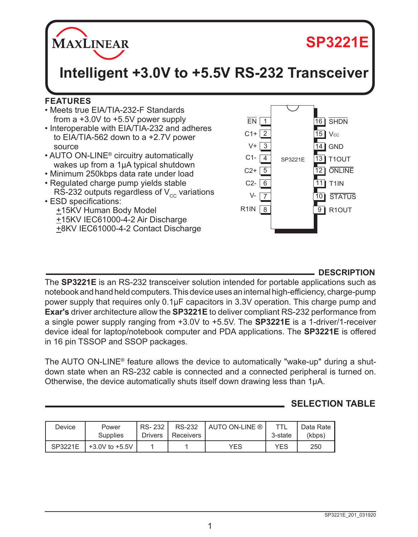

# **SP3221E**

**Intelligent +3.0V to +5.5V RS-232 Transceiver**

## **FEATURES**

- Meets true EIA/TIA-232-F Standards from a +3.0V to +5.5V power supply
- Interoperable with EIA/TIA-232 and adheres to EIA/TIA-562 down to a +2.7V power source
- AUTO ON-LINE® circuitry automatically wakes up from a 1µA typical shutdown
- Minimum 250kbps data rate under load
- Regulated charge pump yields stable RS-232 outputs regardless of  $V_{cc}$  variations
- ESD specifications: +15KV Human Body Model

 +15KV IEC61000-4-2 Air Discharge +8KV IEC61000-4-2 Contact Discharge



## **DESCRIPTION**

The **SP3221E** is an RS-232 transceiver solution intended for portable applications such as notebook and hand held computers. This device uses an internal high-efficiency, charge-pump power supply that requires only 0.1µF capacitors in 3.3V operation. This charge pump and **Exar's** driver architecture allow the **SP3221E** to deliver compliant RS-232 performance from a single power supply ranging from +3.0V to +5.5V. The **SP3221E** is a 1-driver/1-receiver device ideal for laptop/notebook computer and PDA applications. The **SP3221E** is offered in 16 pin TSSOP and SSOP packages.

The AUTO ON-LINE® feature allows the device to automatically "wake-up" during a shutdown state when an RS-232 cable is connected and a connected peripheral is turned on. Otherwise, the device automatically shuts itself down drawing less than 1µA.

# **SELECTION TABLE**

| Device  | Power<br>Supplies  | RS-232<br><b>Drivers</b> | <b>RS-232</b><br>Receivers | <b>AUTO ON-LINE ®</b> | 3-state    | Data Rate<br>(kbps) |
|---------|--------------------|--------------------------|----------------------------|-----------------------|------------|---------------------|
| SP3221E | $+3.0V$ to $+5.5V$ |                          |                            | YES                   | <b>YES</b> | 250                 |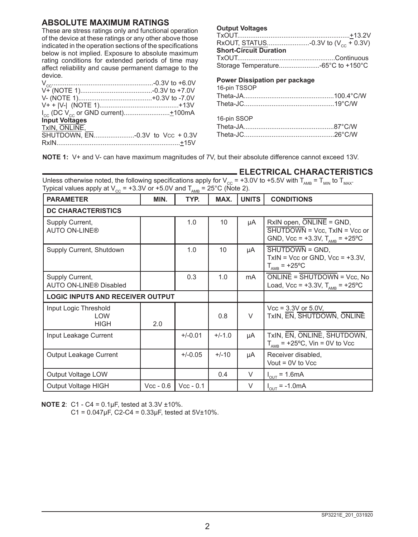## **ABSOLUTE MAXIMUM RATINGS**

These are stress ratings only and functional operation of the device at these ratings or any other above those indicated in the operation sections of the specifications below is not implied. Exposure to absolute maximum rating conditions for extended periods of time may affect reliability and cause permanent damage to the device.

| <b>Input Voltages</b>           |  |
|---------------------------------|--|
| TxIN, ONLINE,                   |  |
| SHUTDOWN, EN-0.3V to Vcc + 0.3V |  |
|                                 |  |

#### **Output Voltages**

| RxOUT, STATUS-0.3V to $(V_{cc} + 0.3V)$ |  |
|-----------------------------------------|--|
| <b>Short-Circuit Duration</b>           |  |
|                                         |  |
|                                         |  |

#### **Power Dissipation per package**

| 16-pin TSSOP |  |
|--------------|--|
|              |  |
|              |  |
| 16-pin SSOP  |  |
|              |  |
|              |  |
|              |  |

**NOTE 1:** V+ and V- can have maximum magnitudes of 7V, but their absolute difference cannot exceed 13V.

| <b>_ELECTRICAL CHARACTERISTICS</b>                                                                                                                      |
|---------------------------------------------------------------------------------------------------------------------------------------------------------|
| Unless otherwise noted, the following specifications apply for $V_{cc}$ = +3.0V to +5.5V with T <sub>AMB</sub> = T <sub>MIN</sub> to T <sub>MAX</sub> . |
| Typical values apply at $V_{\text{eq}}$ = +3.3V or +5.0V and $T_{\text{amp}}$ = 25°C (Note 2).                                                          |

| <b>PARAMETER</b>                                   | MIN.        | <b>AND</b><br>TYP. | MAX.     | <b>UNITS</b> | <b>CONDITIONS</b>                                                                                                                          |
|----------------------------------------------------|-------------|--------------------|----------|--------------|--------------------------------------------------------------------------------------------------------------------------------------------|
| <b>DC CHARACTERISTICS</b>                          |             |                    |          |              |                                                                                                                                            |
| Supply Current,<br><b>AUTO ON-LINE®</b>            |             | 1.0                | 10       | μA           | $RxIN$ open, $\overline{ONLINE}$ = GND,<br>$\overline{\text{SHUTDOWN}}$ = Vcc, TxIN = Vcc or<br>GND, Vcc = +3.3V, $T_{\text{AMB}}$ = +25°C |
| Supply Current, Shutdown                           |             | 1.0                | 10       | μA           | SHUTDOWN = GND.<br>$TxIN = Vcc$ or GND, $Vcc = +3.3V$ ,<br>$T_{\text{AMB}}$ = +25°C                                                        |
| Supply Current,<br><b>AUTO ON-LINE® Disabled</b>   |             | 0.3                | 1.0      | mA           | $ONLINE = SHUTDOWN = Vcc, No$<br>Load, Vcc = +3.3V, $T_{\text{AMR}}$ = +25°C                                                               |
| <b>LOGIC INPUTS AND RECEIVER OUTPUT</b>            |             |                    |          |              |                                                                                                                                            |
| Input Logic Threshold<br><b>LOW</b><br><b>HIGH</b> | 2.0         |                    | 0.8      | $\vee$       | $Vec = 3.3V$ or 5.0V,<br>TxIN, EN, SHUTDOWN, ONLINE                                                                                        |
| Input Leakage Current                              |             | $+/-0.01$          | $+/-1.0$ | μA           | TxIN, EN, ONLINE, SHUTDOWN,<br>$T_{\text{AMB}}$ = +25°C, Vin = 0V to Vcc                                                                   |
| Output Leakage Current                             |             | $+/-0.05$          | $+/-10$  | μA           | Receiver disabled,<br>Vout = $0V$ to Vcc                                                                                                   |
| Output Voltage LOW                                 |             |                    | 0.4      | V            | $I_{OUT} = 1.6mA$                                                                                                                          |
| Output Voltage HIGH                                | $Vcc - 0.6$ | $Vcc - 0.1$        |          | $\vee$       | $I_{\text{OUT}} = -1.0 \text{mA}$                                                                                                          |

**NOTE 2**: C1 - C4 = 0.1µF, tested at 3.3V ±10%.

 $C1 = 0.047 \mu F$ ,  $C2-C4 = 0.33 \mu F$ , tested at  $5V±10\%$ .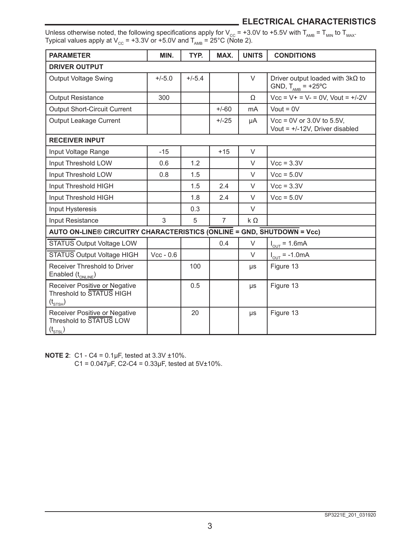## **ELECTRICAL CHARACTERISTICS**

Unless otherwise noted, the following specifications apply for V<sub>cc</sub> = +3.0V to +5.5V with T<sub>AMB</sub> = T<sub>MIN</sub> to T<sub>MAX</sub>. Typical values apply at V $_{\rm CC}$  = +3.3V or +5.0V and T $_{\rm AMB}$  = 25°C (Note 2).

| <b>PARAMETER</b>                                                                 | MIN.        | TYP.     | MAX.           | <b>UNITS</b> | <b>CONDITIONS</b>                                                        |
|----------------------------------------------------------------------------------|-------------|----------|----------------|--------------|--------------------------------------------------------------------------|
| <b>DRIVER OUTPUT</b>                                                             |             |          |                |              |                                                                          |
| <b>Output Voltage Swing</b>                                                      | $+/-5.0$    | $+/-5.4$ |                | $\vee$       | Driver output loaded with $3k\Omega$ to<br>GND, $T_{\text{AMB}}$ = +25°C |
| <b>Output Resistance</b>                                                         | 300         |          |                | Ω            | $Vcc = V + = V - = 0V$ , Vout = $+/-2V$                                  |
| <b>Output Short-Circuit Current</b>                                              |             |          | $+/-60$        | mA           | Vout = $0V$                                                              |
| Output Leakage Current                                                           |             |          | $+/-25$        | μA           | $Vec = 0V$ or 3.0V to 5.5V,<br>Vout = $+/-12V$ , Driver disabled         |
| <b>RECEIVER INPUT</b>                                                            |             |          |                |              |                                                                          |
| Input Voltage Range                                                              | $-15$       |          | $+15$          | $\vee$       |                                                                          |
| Input Threshold LOW                                                              | 0.6         | 1.2      |                | V            | $Vec = 3.3V$                                                             |
| Input Threshold LOW                                                              | 0.8         | 1.5      |                | V            | $Vcc = 5.0V$                                                             |
| Input Threshold HIGH                                                             |             | 1.5      | 2.4            | $\vee$       | $Vec = 3.3V$                                                             |
| Input Threshold HIGH                                                             |             | 1.8      | 2.4            | $\vee$       | $Vcc = 5.0V$                                                             |
| Input Hysteresis                                                                 |             | 0.3      |                | $\vee$       |                                                                          |
| Input Resistance                                                                 | 3           | 5        | $\overline{7}$ | $k\Omega$    |                                                                          |
| AUTO ON-LINE® CIRCUITRY CHARACTERISTICS (ONLINE = GND, SHUTDOWN = Vcc)           |             |          |                |              |                                                                          |
| <b>STATUS Output Voltage LOW</b>                                                 |             |          | 0.4            | V            | $I_{\text{OUT}} = 1.6 \text{mA}$                                         |
| <b>STATUS Output Voltage HIGH</b>                                                | $Vec - 0.6$ |          |                | $\vee$       | $I_{\text{out}} = -1.0 \text{mA}$                                        |
| Receiver Threshold to Driver<br>Enabled $(t_{ONLINE})$                           |             | 100      |                | μs           | Figure 13                                                                |
| Receiver Positive or Negative<br>Threshold to STATUS HIGH<br>$(t_{\text{STSH}})$ |             | 0.5      |                | μs           | Figure 13                                                                |
| Receiver Positive or Negative<br>Threshold to STATUS LOW<br>$(t_{\text{STSL}})$  |             | 20       |                | μs           | Figure 13                                                                |

**NOTE 2**: C1 - C4 = 0.1µF, tested at 3.3V ±10%.  $C1 = 0.047 \mu F$ ,  $C2-C4 = 0.33 \mu F$ , tested at  $5V±10\%$ .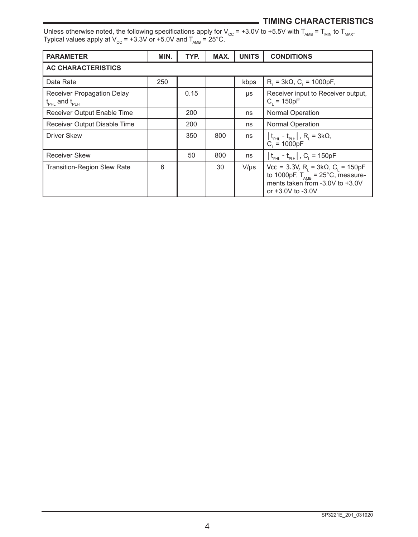## **TIMING CHARACTERISTICS**

Unless otherwise noted, the following specifications apply for V $_{\rm CC}$  = +3.0V to +5.5V with T $_{\rm AMB}$  = T $_{\rm MM}$  to T $_{\rm MAX}$ . Typical values apply at V $_{\rm cc}$  = +3.3V or +5.0V and T $_{_{\sf AMB}}$  = 25°C.

| <b>PARAMETER</b>                                                    | MIN. | TYP. | MAX. | <b>UNITS</b> | <b>CONDITIONS</b>                                                                                                                                                               |
|---------------------------------------------------------------------|------|------|------|--------------|---------------------------------------------------------------------------------------------------------------------------------------------------------------------------------|
| <b>AC CHARACTERISTICS</b>                                           |      |      |      |              |                                                                                                                                                                                 |
| Data Rate                                                           | 250  |      |      | kbps         | $R_1 = 3k\Omega$ , C <sub>1</sub> = 1000pF,                                                                                                                                     |
| Receiver Propagation Delay<br>$t_{\text{PHL}}$ and $t_{\text{PLH}}$ |      | 0.15 |      | μs           | Receiver input to Receiver output,<br>$C_i = 150pF$                                                                                                                             |
| Receiver Output Enable Time                                         |      | 200  |      | ns           | <b>Normal Operation</b>                                                                                                                                                         |
| Receiver Output Disable Time                                        |      | 200  |      | ns           | <b>Normal Operation</b>                                                                                                                                                         |
| <b>Driver Skew</b>                                                  |      | 350  | 800  | ns           | $\left\lfloor t_{\text{PHL}} - t_{\text{PLH}} \right\rfloor$ , $R_{\text{L}} = 3k\Omega$ ,<br>$C_i = 1000pF$                                                                    |
| <b>Receiver Skew</b>                                                |      | 50   | 800  | ns           | $ t_{\text{PHL}} - t_{\text{PLH}} $ , $C_{L} = 150pF$                                                                                                                           |
| <b>Transition-Region Slew Rate</b>                                  | 6    |      | 30   | $V/\mu s$    | $Vcc = 3.3V$ , R <sub>1</sub> = 3kΩ, C <sub>1</sub> = 150pF<br>to 1000pF, $T_{\text{AMB}} = 25^{\circ}$ C, measure-<br>ments taken from $-3.0V$ to $+3.0V$<br>or +3.0V to -3.0V |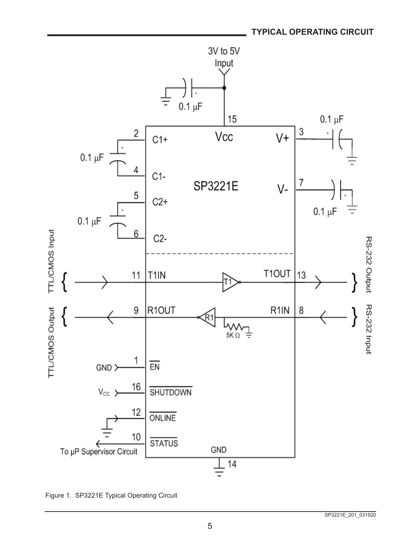

Figure 1. SP3221E Typical Operating Circuit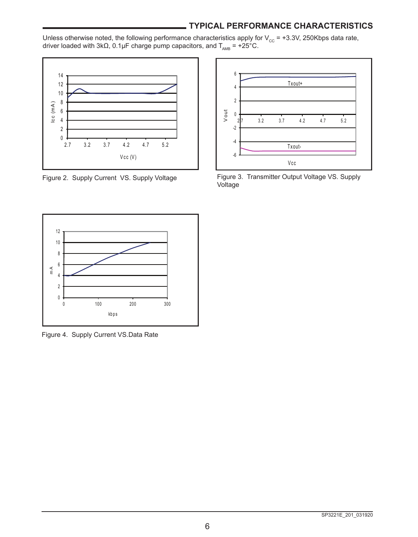## **TYPICAL PERFORMANCE CHARACTERISTICS**

Unless otherwise noted, the following performance characteristics apply for  $V_{cc}$  = +3.3V, 250Kbps data rate, driver loaded with 3kΩ, 0.1µF charge pump capacitors, and  $T_{\text{AMB}} = +25\degree C$ .



Figure 2. Supply Current VS. Supply Voltage



Figure 3. Transmitter Output Voltage VS. Supply Voltage



Figure 4. Supply Current VS.Data Rate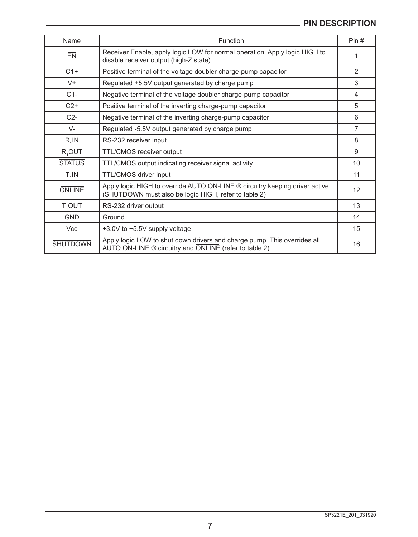| Name               | Function                                                                                                                            | Pin#           |
|--------------------|-------------------------------------------------------------------------------------------------------------------------------------|----------------|
| $E$ <sub>N</sub>   | Receiver Enable, apply logic LOW for normal operation. Apply logic HIGH to<br>disable receiver output (high-Z state).               | 1              |
| $C1+$              | Positive terminal of the voltage doubler charge-pump capacitor                                                                      | 2              |
| $V +$              | Regulated +5.5V output generated by charge pump                                                                                     | 3              |
| $C1-$              | Negative terminal of the voltage doubler charge-pump capacitor                                                                      | 4              |
| $C2+$              | Positive terminal of the inverting charge-pump capacitor                                                                            | 5              |
| $C2-$              | Negative terminal of the inverting charge-pump capacitor                                                                            | 6              |
| $V -$              | Regulated -5.5V output generated by charge pump                                                                                     | $\overline{7}$ |
| R, IN              | RS-232 receiver input                                                                                                               | 8              |
| R <sub>1</sub> OUT | TTL/CMOS receiver output                                                                                                            | 9              |
| <b>STATUS</b>      | TTL/CMOS output indicating receiver signal activity                                                                                 | 10             |
| $T_{4}$ IN         | TTL/CMOS driver input                                                                                                               | 11             |
| <b>ONLINE</b>      | Apply logic HIGH to override AUTO ON-LINE ® circuitry keeping driver active<br>(SHUTDOWN must also be logic HIGH, refer to table 2) | 12             |
| T <sub>4</sub> OUT | RS-232 driver output                                                                                                                | 13             |
| <b>GND</b>         | Ground                                                                                                                              | 14             |
| <b>Vcc</b>         | +3.0V to +5.5V supply voltage                                                                                                       | 15             |
| <b>SHUTDOWN</b>    | Apply logic LOW to shut down drivers and charge pump. This overrides all<br>AUTO ON-LINE ® circuitry and ONLINE (refer to table 2). | 16             |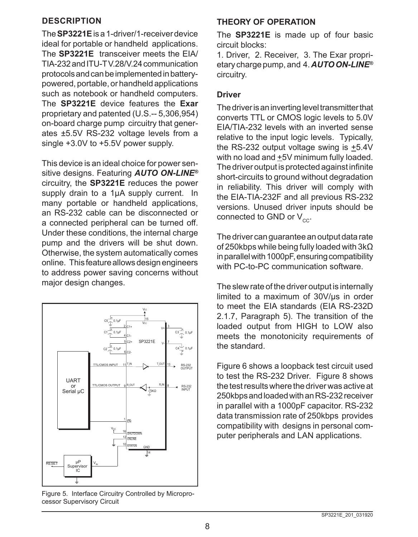## **DESCRIPTION**

The **SP3221E** is a 1-driver/1-receiver device ideal for portable or handheld applications. The **SP3221E** transceiver meets the EIA/ TIA-232 and ITU-T V.28/V.24 communication protocols and can be implemented in batterypowered, portable, or handheld applications such as notebook or handheld computers. The **SP3221E** device features the **Exar** proprietary and patented (U.S.‑‑ 5,306,954) on-board charge pump circuitry that generates ±5.5V RS-232 voltage levels from a single +3.0V to +5.5V power supply.

This device is an ideal choice for power sensitive designs. Featuring *AUTO ON-LINE®* circuitry, the **SP3221E** reduces the power supply drain to a 1µA supply current. In many portable or handheld applications, an RS-232 cable can be disconnected or a connected peripheral can be turned off. Under these conditions, the internal charge pump and the drivers will be shut down. Otherwise, the system automatically comes online. This feature allows design engineers to address power saving concerns without major design changes.



Figure 5. Interface Circuitry Controlled by Microprocessor Supervisory Circuit

# **THEORY OF OPERATION**

The **SP3221E** is made up of four basic circuit blocks:

1. Driver, 2. Receiver, 3. The Exar proprietary charge pump, and 4. *AUTO ON-LINE®* circuitry.

## **Driver**

The driver is an inverting level transmitter that converts TTL or CMOS logic levels to 5.0V EIA/TIA-232 levels with an inverted sense relative to the input logic levels. Typically, the RS-232 output voltage swing is  $\pm$ 5.4V with no load and  $\pm$ 5V minimum fully loaded. The driver output is protected against infinite short-circuits to ground without degradation in reliability. This driver will comply with the EIA-TIA-232F and all previous RS-232 versions. Unused driver inputs should be connected to GND or  $V_{cc}$ .

The driver can guarantee an output data rate of 250kbps while being fully loaded with 3kΩ in parallel with 1000pF, ensuring compatibility with PC-to-PC communication software.

The slew rate of the driver output is internally limited to a maximum of 30V/µs in order to meet the EIA standards (EIA RS-232D 2.1.7, Paragraph 5). The transition of the loaded output from HIGH to LOW also meets the monotonicity requirements of the standard.

Figure 6 shows a loopback test circuit used to test the RS-232 Driver. Figure 8 shows the test results where the driver was active at 250kbps and loaded with an RS-232 receiver in parallel with a 1000pF capacitor. RS-232 data transmission rate of 250kbps provides compatibility with designs in personal computer peripherals and LAN applications.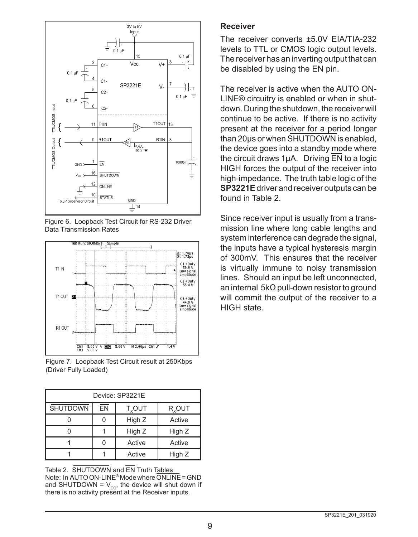

Figure 6. Loopback Test Circuit for RS-232 Driver Data Transmission Rates



Figure 7. Loopback Test Circuit result at 250Kbps (Driver Fully Loaded)

| Device: SP3221E |    |                         |                    |  |  |  |
|-----------------|----|-------------------------|--------------------|--|--|--|
| <b>SHUTDOWN</b> | EN | <b>T<sub>y</sub>OUT</b> | R <sub>v</sub> out |  |  |  |
|                 | ი  | High Z                  | Active             |  |  |  |
|                 |    | High Z                  | High Z             |  |  |  |
|                 | O  | Active                  | Active             |  |  |  |
|                 |    | Active                  | High Z             |  |  |  |

Table 2. SHUTDOWN and EN Truth Tables Note: In AUTO ON-LINE® Mode where ONLINE = GND and SHUTDOWN =  $V_{cor}$ , the device will shut down if there is no activity present at the Receiver inputs.

#### **Receiver**

The receiver converts ±5.0V EIA/TIA-232 levels to TTL or CMOS logic output levels. The receiver has an inverting output that can be disabled by using the EN pin.

The receiver is active when the AUTO ON-LINE® circuitry is enabled or when in shutdown. During the shutdown, the receiver will continue to be active. If there is no activity present at the receiver for a period longer than 20µs or when SHUTDOWN is enabled, the device goes into a standby mode where the circuit draws 1µA. Driving EN to a logic HIGH forces the output of the receiver into high-impedance. The truth table logic of the **SP3221E** driver and receiver outputs can be found in Table 2.

Since receiver input is usually from a transmission line where long cable lengths and system interference can degrade the signal, the inputs have a typical hysteresis margin of 300mV. This ensures that the receiver is virtually immune to noisy transmission lines. Should an input be left unconnected, an internal 5kΩ pull-down resistor to ground will commit the output of the receiver to a HIGH state.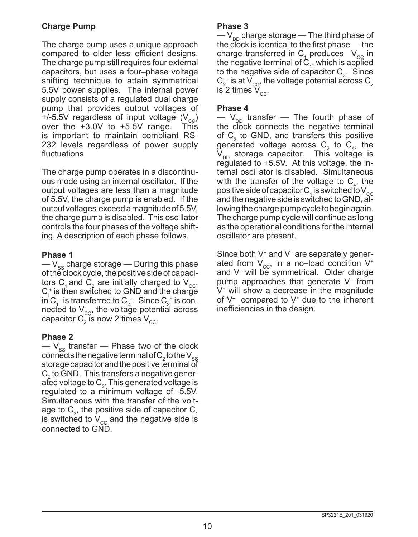## **Charge Pump**

The charge pump uses a unique approach compared to older less–efficient designs. The charge pump still requires four external capacitors, but uses a four–phase voltage shifting technique to attain symmetrical 5.5V power supplies. The internal power supply consists of a regulated dual charge pump that provides output voltages of +/-5.5V regardless of input voltage  $(V_{cc})$ over the +3.0V to +5.5V range. This is important to maintain compliant RS-232 levels regardless of power supply fluctuations.

The charge pump operates in a discontinuous mode using an internal oscillator. If the output voltages are less than a magnitude of 5.5V, the charge pump is enabled. If the output voltages exceed a magnitude of 5.5V, the charge pump is disabled. This oscillator controls the four phases of the voltage shifting. A description of each phase follows.

## **Phase 1**

 $-V_{\rm ss}$  charge storage — During this phase of the clock cycle, the positive side of capacitors C<sub>1</sub> and C<sub>2</sub> are initially charged to V<sub>cc</sub>.  $C_1^*$  is then switched to GND and the charge in C<sub>1</sub> is transferred to C<sub>2</sub> Since C<sub>2</sub> is connected to  $V_{\text{cc}}$ , the voltage potential across capacitor  $\textsf{C}_2^{\!\!\!\phantom{\dagger}}$  is now 2 times  $\textsf{V}_{\rm cc}^{\!\!\!\phantom{\dagger}}$ 

## **Phase 2**

 $-V_{ss}$  transfer — Phase two of the clock connects the negative terminal of  $C_2$  to the  $\mathsf{V}_{\mathsf{ss}}$ storage capacitor and the positive terminal of  $C<sub>2</sub>$  to GND. This transfers a negative generated voltage to  $C_3$ . This generated voltage is regulated to a minimum voltage of -5.5V. Simultaneous with the transfer of the voltage to  $\textsf{C}_{\scriptscriptstyle{3}}$ , the positive side of capacitor  $\textsf{C}_{\scriptscriptstyle{1}}$ is switched to  $V_{cc}$  and the negative side is connected to GND.

## **Phase 3**

 $-V_{\text{on}}$  charge storage — The third phase of the clock is identical to the first phase — the charge transferred in  $C_1$  produces  $-V_{\text{cc}}$  in the negative terminal of  $C<sub>1</sub>$ , which is applied to the negative side of capacitor  $C_2$ . Since  $\mathsf{C}_2^+$  is at  $\mathsf{V}_{\text{cc}}^+$  the voltage potential across  $\mathsf{C}_2^+$ is 2 times  $\rm V_{cc}.$ 

## **Phase 4**

 $-$  V<sub>pp</sub> transfer  $-$  The fourth phase of the clock connects the negative terminal of  $C_2$  to GND, and transfers this positive generated voltage across  $C_2$  to  $C_4$ , the  $V_{DD}$  storage capacitor. This voltage is regulated to +5.5V. At this voltage, the internal oscillator is disabled. Simultaneous with the transfer of the voltage to  $C_4$ , the positive side of capacitor C  $_1$  is switched to V  $_{\rm cc}$ and the negative side is switched to GND, allowing the charge pump cycle to begin again. The charge pump cycle will continue as long as the operational conditions for the internal oscillator are present.

Since both V+ and V– are separately generated from  $V_{cc}$ , in a no–load condition  $V^*$ and V– will be symmetrical. Older charge pump approaches that generate V– from  $V^*$  will show a decrease in the magnitude of V– compared to V+ due to the inherent inefficiencies in the design.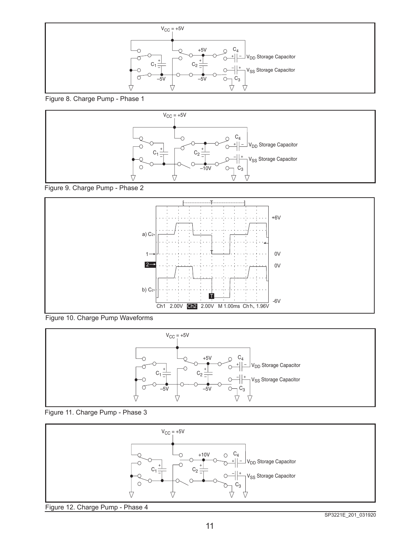

Figure 8. Charge Pump - Phase 1



Figure 9. Charge Pump - Phase 2



Figure 10. Charge Pump Waveforms





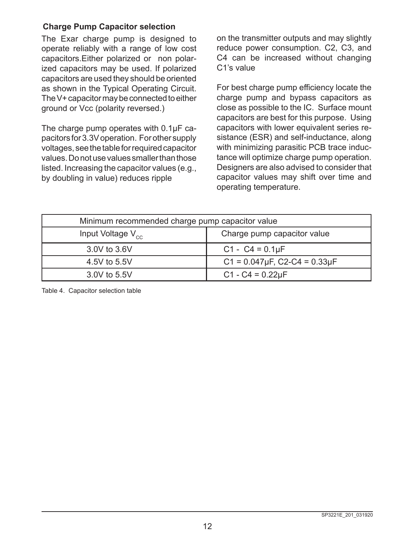## **Charge Pump Capacitor selection**

The Exar charge pump is designed to operate reliably with a range of low cost capacitors.Either polarized or non polarized capacitors may be used. If polarized capacitors are used they should be oriented as shown in the Typical Operating Circuit. The V+ capacitor may be connected to either ground or Vcc (polarity reversed.)

The charge pump operates with 0.1µF capacitors for 3.3V operation. For other supply voltages, see the table for required capacitor values. Do not use values smaller than those listed. Increasing the capacitor values (e.g., by doubling in value) reduces ripple

on the transmitter outputs and may slightly reduce power consumption. C2, C3, and C4 can be increased without changing C1's value

For best charge pump efficiency locate the charge pump and bypass capacitors as close as possible to the IC. Surface mount capacitors are best for this purpose. Using capacitors with lower equivalent series resistance (ESR) and self-inductance, along with minimizing parasitic PCB trace inductance will optimize charge pump operation. Designers are also advised to consider that capacitor values may shift over time and operating temperature.

| Minimum recommended charge pump capacitor value |                                           |  |  |  |
|-------------------------------------------------|-------------------------------------------|--|--|--|
| Input Voltage $V_{cc}$                          | Charge pump capacitor value               |  |  |  |
| 3.0V to 3.6V                                    | C1 - C4 = $0.1 \mu F$                     |  |  |  |
| 4.5V to 5.5V                                    | $C1 = 0.047 \mu F$ , $C2-C4 = 0.33 \mu F$ |  |  |  |
| 3.0V to 5.5V                                    | $C1 - C4 = 0.22 \mu F$                    |  |  |  |

Table 4. Capacitor selection table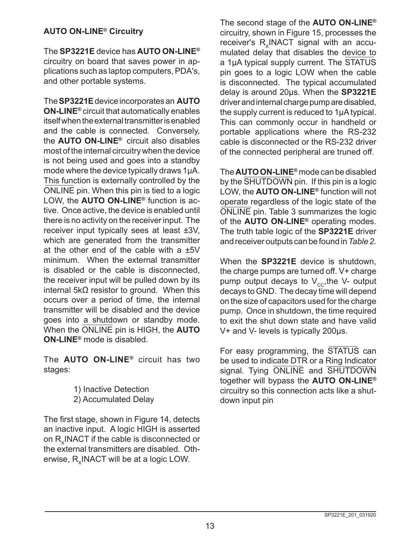## **AUTO ON-LINE® Circuitry**

The **SP3221E** device has **AUTO ON-LINE®** circuitry on board that saves power in applications such as laptop computers, PDA's, and other portable systems.

The **SP3221E** device incorporates an **AUTO ON-LINE®** circuit that automatically enables itself when the external transmitter is enabled and the cable is connected. Conversely, the **AUTO ON-LINE®** circuit also disables most of the internal circuitry when the device is not being used and goes into a standby mode where the device typically draws 1µA. This function is externally controlled by the ONLINE pin. When this pin is tied to a logic LOW, the **AUTO ON-LINE®** function is active. Once active, the device is enabled until there is no activity on the receiver input. The receiver input typically sees at least ±3V, which are generated from the transmitter at the other end of the cable with a ±5V minimum. When the external transmitter is disabled or the cable is disconnected, the receiver input will be pulled down by its internal 5kΩ resistor to ground. When this occurs over a period of time, the internal transmitter will be disabled and the device goes into a shutdown or standby mode. When the ONLINE pin is HIGH, the **AUTO ON-LINE®** mode is disabled.

The **AUTO ON-LINE®** circuit has two stages:

> 1) Inactive Detection 2) Accumulated Delay

The first stage, shown in Figure 14, detects an inactive input. A logic HIGH is asserted on R. INACT if the cable is disconnected or the external transmitters are disabled. Otherwise,  $R_x$ INACT will be at a logic LOW.

The second stage of the **AUTO ON-LINE®** circuitry, shown in Figure 15, processes the receiver's R<sub>v</sub>INACT signal with an accumulated delay that disables the device to a 1uA typical supply current. The STATUS pin goes to a logic LOW when the cable is disconnected. The typical accumulated delay is around 20µs. When the **SP3221E** driver and internal charge pump are disabled, the supply current is reduced to 1µA typical. This can commonly occur in handheld or portable applications where the RS-232 cable is disconnected or the RS-232 driver of the connected peripheral are truned off.

The **AUTO ON-LINE®** mode can be disabled by the SHUTDOWN pin. If this pin is a logic LOW, the **AUTO ON-LINE®** function will not operate regardless of the logic state of the ONLINE pin. Table 3 summarizes the logic of the **AUTO ON-LINE®** operating modes. The truth table logic of the **SP3221E** driver and receiver outputs can be found in *Table 2.*

When the **SP3221E** device is shutdown, the charge pumps are turned off. V+ charge pump output decays to  $V_{cc}$ , the V- output decays to GND. The decay time will depend on the size of capacitors used for the charge pump. Once in shutdown, the time required to exit the shut down state and have valid V+ and V- levels is typically 200µs.

For easy programming, the STATUS can be used to indicate DTR or a Ring Indicator signal. Tying ONLINE and SHUTDOWN together will bypass the **AUTO ON-LINE®** circuitry so this connection acts like a shutdown input pin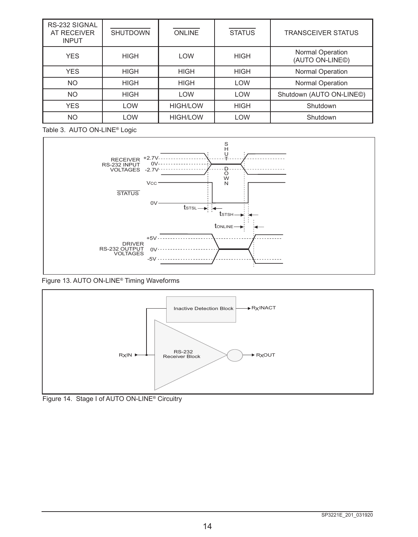| RS-232 SIGNAL<br><b>AT RECEIVER</b><br><b>INPUT</b> | <b>SHUTDOWN</b> | <b>ONLINE</b>   | <b>STATUS</b> | <b>TRANSCEIVER STATUS</b>                        |
|-----------------------------------------------------|-----------------|-----------------|---------------|--------------------------------------------------|
| <b>YES</b>                                          | <b>HIGH</b>     | <b>LOW</b>      | <b>HIGH</b>   | Normal Operation<br>(AUTO ON-LINE <sup>®</sup> ) |
| <b>YES</b>                                          | <b>HIGH</b>     | <b>HIGH</b>     | <b>HIGH</b>   | <b>Normal Operation</b>                          |
| <b>NO</b>                                           | <b>HIGH</b>     | <b>HIGH</b>     | <b>LOW</b>    | <b>Normal Operation</b>                          |
| <b>NO</b>                                           | <b>HIGH</b>     | <b>LOW</b>      | <b>LOW</b>    | Shutdown (AUTO ON-LINE©)                         |
| <b>YES</b>                                          | LOW             | <b>HIGH/LOW</b> | <b>HIGH</b>   | Shutdown                                         |
| <b>NO</b>                                           | LOW             | <b>HIGH/LOW</b> | <b>LOW</b>    | Shutdown                                         |

Table 3. AUTO ON-LINE® Logic



Figure 13. AUTO ON-LINE® Timing Waveforms



Figure 14. Stage I of AUTO ON-LINE® Circuitry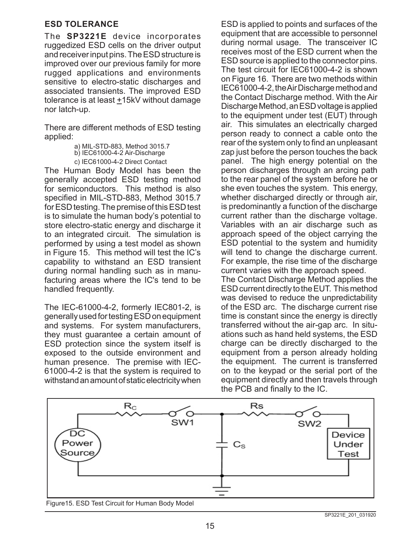## **ESD TOLERANCE**

The **SP3221E** device incorporates ruggedized ESD cells on the driver output and receiver input pins. The ESD structure is improved over our previous family for more rugged applications and environments sensitive to electro-static discharges and associated transients. The improved ESD tolerance is at least  $±15kV$  without damage nor latch-up.

There are different methods of ESD testing applied:

> a) MIL-STD-883, Method 3015.7 b) IEC61000-4-2 Air-Discharge c) IEC61000-4-2 Direct Contact

The Human Body Model has been the generally accepted ESD testing method for semiconductors. This method is also specified in MIL-STD-883, Method 3015.7 for ESD testing. The premise of this ESD test is to simulate the human body's potential to store electro-static energy and discharge it to an integrated circuit. The simulation is performed by using a test model as shown in Figure 15. This method will test the IC's capability to withstand an ESD transient during normal handling such as in manufacturing areas where the IC's tend to be handled frequently.

The IEC-61000-4-2, formerly IEC801-2, is generally used for testing ESD on equipment and systems. For system manufacturers, they must guarantee a certain amount of ESD protection since the system itself is exposed to the outside environment and human presence. The premise with IEC-61000-4-2 is that the system is required to withstand an amount of static electricity when ESD is applied to points and surfaces of the equipment that are accessible to personnel during normal usage. The transceiver IC receives most of the ESD current when the ESD source is applied to the connector pins. The test circuit for IEC61000-4-2 is shown on Figure 16. There are two methods within IEC61000-4-2, the Air Discharge method and the Contact Discharge method. With the Air Discharge Method, an ESD voltage is applied to the equipment under test (EUT) through air. This simulates an electrically charged person ready to connect a cable onto the rear of the system only to find an unpleasant zap just before the person touches the back panel. The high energy potential on the person discharges through an arcing path to the rear panel of the system before he or she even touches the system. This energy, whether discharged directly or through air, is predominantly a function of the discharge current rather than the discharge voltage. Variables with an air discharge such as approach speed of the object carrying the ESD potential to the system and humidity will tend to change the discharge current. For example, the rise time of the discharge current varies with the approach speed.

The Contact Discharge Method applies the ESD current directly to the EUT. This method was devised to reduce the unpredictability of the ESD arc. The discharge current rise time is constant since the energy is directly transferred without the air-gap arc. In situations such as hand held systems, the ESD charge can be directly discharged to the equipment from a person already holding the equipment. The current is transferred on to the keypad or the serial port of the equipment directly and then travels through the PCB and finally to the IC.



Figure15. ESD Test Circuit for Human Body Model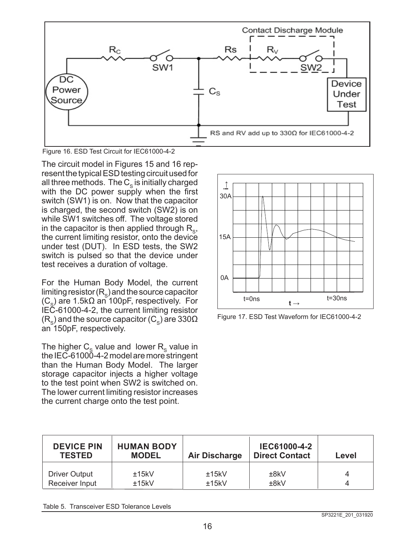

Figure 16. ESD Test Circuit for IEC61000-4-2

The circuit model in Figures 15 and 16 represent the typical ESD testing circuit used for all three methods. The  $C_s$  is initially charged with the DC power supply when the first switch (SW1) is on. Now that the capacitor is charged, the second switch (SW2) is on while SW1 switches off. The voltage stored in the capacitor is then applied through  $R_{\rm s}$ , the current limiting resistor, onto the device under test (DUT). In ESD tests, the SW2 switch is pulsed so that the device under test receives a duration of voltage.

For the Human Body Model, the current limiting resistor  $(R_s)$  and the source capacitor  $(C_{\rm s})$  are 1.5k $\Omega$  an 100pF, respectively. For IEC-61000-4-2, the current limiting resistor  $(R_{\rm s})$  and the source capacitor (C<sub>s</sub>) are 330 $\Omega$ an 150pF, respectively.

The higher  $C_{\rm s}$  value and lower  $R_{\rm s}$  value in the IEC-61000-4-2 model are more stringent than the Human Body Model. The larger storage capacitor injects a higher voltage to the test point when SW2 is switched on. The lower current limiting resistor increases the current charge onto the test point.



Figure 17. ESD Test Waveform for IEC61000-4-2

| <b>DEVICE PIN</b><br><b>TESTED</b> | <b>HUMAN BODY</b><br><b>MODEL</b> | <b>Air Discharge</b> | IEC61000-4-2<br><b>Direct Contact</b> | Level |
|------------------------------------|-----------------------------------|----------------------|---------------------------------------|-------|
| Driver Output                      | ±15kV                             | ±15kV                | ±8kV                                  |       |
| Receiver Input                     | ±15kV                             | ±15kV                | ±8kV                                  |       |

Table 5. Transceiver ESD Tolerance Levels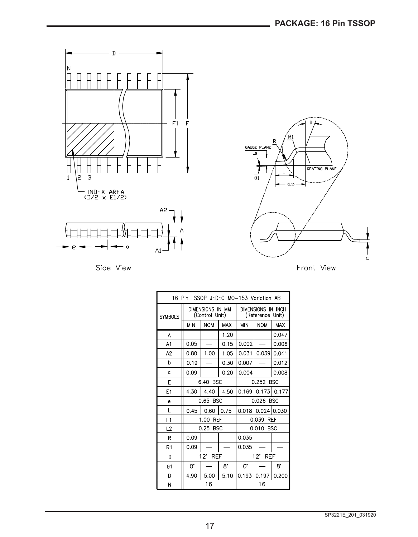

Side View



ċ

| 16 Pin TSSOP JEDEC MO-153 Variation AB |                                    |            |             |                                        |                   |            |
|----------------------------------------|------------------------------------|------------|-------------|----------------------------------------|-------------------|------------|
| <b>SYMBOLS</b>                         | DIMENSIONS IN MM<br>(Control Unit) |            |             | DIMENSIONS IN INCH<br>(Reference Unit) |                   |            |
|                                        | <b>MIN</b>                         | <b>NOM</b> | <b>MAX</b>  | <b>MIN</b>                             | <b>NOM</b>        | <b>MAX</b> |
| A                                      |                                    |            | 1.20        |                                        |                   | 0.047      |
| A1                                     | 0.05                               |            | 0.15        | 0.002                                  |                   | 0.006      |
| A2                                     | 0.80                               | 1.00       | 1.05        | 0.031                                  | 0.039             | 0.041      |
| b                                      | 0.19                               |            | 0.30        | 0.007                                  |                   | 0.012      |
| c                                      | 0.09                               |            | 0.20        | 0.004                                  |                   | 0.008      |
| E                                      | 6.40 BSC                           |            |             | 0.252 BSC                              |                   |            |
| E1                                     | 4.30                               | 4.40       | 4.50        |                                        | 0.169 0.173 0.177 |            |
| e                                      | 0.65 BSC                           |            |             | 0.026 BSC                              |                   |            |
| L                                      | 0.45                               | 0.60       | 0.75        |                                        | 0.018 0.024 0.030 |            |
| L1                                     | 1.00<br><b>REF</b>                 |            |             | 0.039<br><b>REF</b>                    |                   |            |
| L2                                     | 0.25 BSC                           |            |             | 0.010 BSC                              |                   |            |
| R                                      | 0.09                               |            |             | 0.035                                  |                   |            |
| R <sub>1</sub>                         | 0.09                               |            |             | 0.035                                  |                   |            |
| θ                                      | $12^{\circ}$<br><b>REF</b>         |            |             | $12^{\circ}$<br><b>REF</b>             |                   |            |
| $\theta$ 1                             | 0.                                 |            | $8^{\circ}$ | 0.                                     |                   | 8.         |
| D                                      | 4.90                               | 5.00       | 5.10        | 0.1931                                 | 0.197             | 0.200      |
| N                                      | 16                                 |            |             |                                        | 16                |            |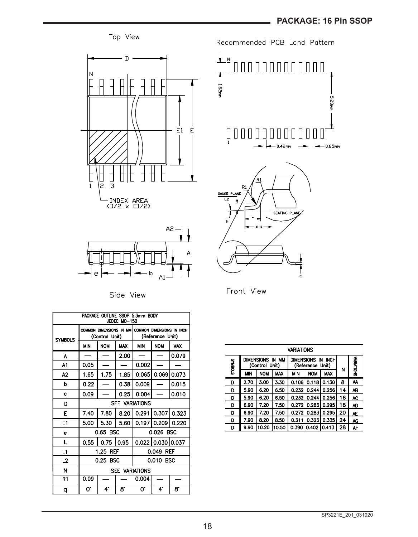



#### Side View

| PACKAGE OUTLINE SSOP 5.3mm BODY<br>JEDEC MO-150 |                             |            |            |                                                                       |                       |               |
|-------------------------------------------------|-----------------------------|------------|------------|-----------------------------------------------------------------------|-----------------------|---------------|
| <b>SYMBOLS</b>                                  | (Control Unit)              |            |            | COMMON DIMENSIONS IN MM COMMON DIMENSIONS IN INCH<br>(Reference Unit) |                       |               |
|                                                 | <b>MIN</b>                  | <b>NOW</b> | <b>MAX</b> | <b>MIN</b>                                                            | <b>NOM</b>            | <b>MAX</b>    |
| А                                               |                             |            | 2.00       |                                                                       |                       | 0.079         |
| A1                                              | 0.05                        |            |            | 0.002                                                                 |                       |               |
| A2                                              | 1.65                        | 1.75       | 1.85       | 0.065                                                                 | 0.069                 | 0.073         |
| b                                               | 0.22                        |            | 0.38       | 0.009                                                                 |                       | 0.015         |
| Ċ                                               | 0.09                        |            | 0.25       | 0.004                                                                 |                       | 0.010         |
| D                                               | <b>SEE VARIATIONS</b>       |            |            |                                                                       |                       |               |
| E                                               | 7.40                        | 7.80       | 8.20       | 0.291                                                                 |                       | $0.307$ 0.323 |
| E1                                              | 5.00                        | 5.30       | 5.60       |                                                                       | 0.197 0.209 0.220     |               |
| e                                               | 0.65 BSC                    |            |            | 0.026 BSC                                                             |                       |               |
| L                                               | 0.55                        | 0.75 0.95  |            |                                                                       | 0.022   0.030   0.037 |               |
| L1                                              | 1.25<br>REF<br>0.049<br>REF |            |            |                                                                       |                       |               |
| L2                                              | 0.25 BSC<br>0.010 BSC       |            |            |                                                                       |                       |               |
| N                                               | <b>SEE VARIATIONS</b>       |            |            |                                                                       |                       |               |
| R1                                              | 0.09                        |            |            | 0.004                                                                 |                       |               |
| q                                               | 0.                          | 4.         | 8.         | 0.                                                                    | 4.                    | 8.            |



Front View

|                | VARIATIONS                         |            |            |                                        |            |            |    |                         |
|----------------|------------------------------------|------------|------------|----------------------------------------|------------|------------|----|-------------------------|
| <b>SHOBOLS</b> | DIMENSIONS IN MM<br>(Control Unit) |            |            | DIMENSIONS IN INCH<br>(Reference Unit) |            |            |    | <b><i>MRIATIONS</i></b> |
|                | <b>MIN</b>                         | <b>NOM</b> | <b>MAX</b> | MIN                                    | <b>NOM</b> | <b>MAX</b> | N  |                         |
| D              | 2.70                               | 3.00       | 3.30       | 0.106                                  | 0.118      | 0.130      | 8  | АА                      |
| D              | 5.90                               | 6.20       | 6.50       | 0.232                                  | 0.244      | 0.256      | 14 | AB                      |
| D              | 5.90                               | 6.20       | 6.50       | 0.232                                  | 0.244      | 0.256      | 16 | AC                      |
| D              | 6.90                               | 7.20       | 7.50       | 0.272                                  | 0.283      | 0.295      | 18 | AD                      |
| D              | 6.90                               | 7.20       | 7.50       | 0.272                                  | 0.283      | 0.295      | 20 | ٨E                      |
| D              | 7.90                               | 8.20       | 8.50       | 0.311                                  | 0.323      | 0.335      | 24 | AG                      |
| D              | 9.90                               | 10.20      | 10.50      | 0.390                                  | 0.402      | 0.413      | 28 | AH                      |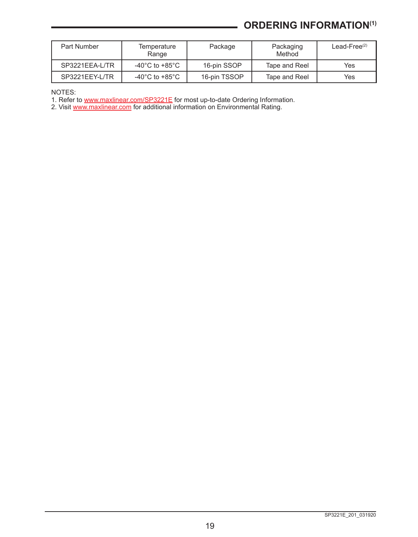# **ORDERING INFORMATION(1)**

| Part Number    | Temperature<br>Range | Package      | Packaging<br>Method | Lead-Free $(2)$ |
|----------------|----------------------|--------------|---------------------|-----------------|
| SP3221EEA-L/TR | -40°C to +85°C       | 16-pin SSOP  | Tape and Reel       | Yes             |
| SP3221EEY-L/TR | -40°C to +85°C       | 16-pin TSSOP | Tape and Reel       | Yes             |

NOTES:

1. Refer to [www.maxlinear.com/SP3221E](http://www.maxlinear.com/SP3221E) for most up-to-date Ordering Information.

2. Visit <u>www.maxlinear.com</u> for additional information on Environmental Rating.